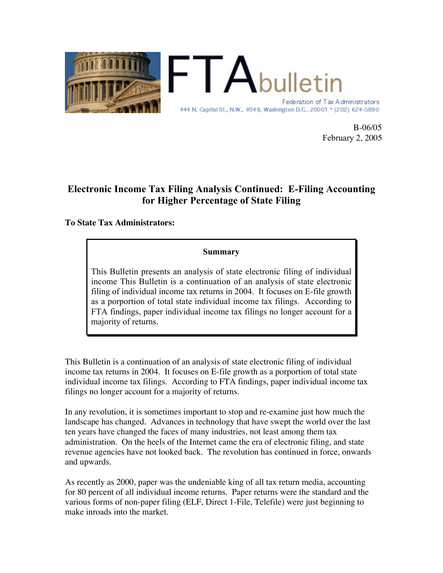

B-06/05 February 2, 2005

### Electronic Income Tax Filing Analysis Continued: E-Filing Accounting for Higher Percentage of State Filing

#### **To State Tax Administrators:**

#### Summary

This Bulletin presents an analysis of state electronic filing of individual income This Bulletin is a continuation of an analysis of state electronic filing of individual income tax returns in 2004. It focuses on E-file growth as a porportion of total state individual income tax filings. According to FTA findings, paper individual income tax filings no longer account for a majority of returns.

This Bulletin is a continuation of an analysis of state electronic filing of individual income tax returns in 2004. It focuses on E-file growth as a porportion of total state individual income tax filings. According to FTA findings, paper individual income tax filings no longer account for a majority of returns.

In any revolution, it is sometimes important to stop and re-examine just how much the landscape has changed. Advances in technology that have swept the world over the last ten years have changed the faces of many industries, not least among them tax administration. On the heels of the Internet came the era of electronic filing, and state revenue agencies have not looked back. The revolution has continued in force, onwards and upwards.

As recently as 2000, paper was the undeniable king of all tax return media, accounting for 80 percent of all individual income returns. Paper returns were the standard and the various forms of non-paper filing (ELF, Direct 1-File, Telefile) were just beginning to make inroads into the market.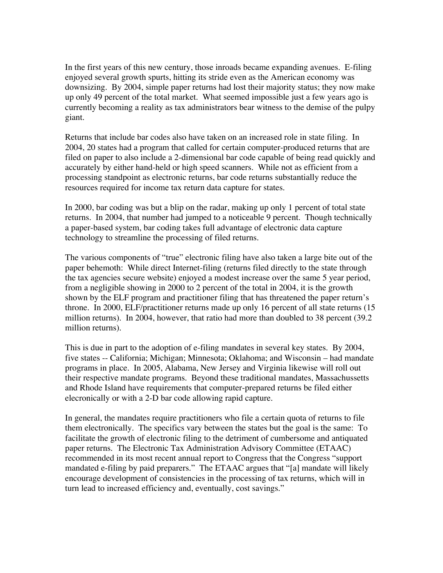In the first years of this new century, those inroads became expanding avenues. E-filing enjoyed several growth spurts, hitting its stride even as the American economy was downsizing. By 2004, simple paper returns had lost their majority status; they now make up only 49 percent of the total market. What seemed impossible just a few years ago is currently becoming a reality as tax administrators bear witness to the demise of the pulpy giant.

Returns that include bar codes also have taken on an increased role in state filing. In 2004, 20 states had a program that called for certain computer-produced returns that are filed on paper to also include a 2-dimensional bar code capable of being read quickly and accurately by either hand-held or high speed scanners. While not as efficient from a processing standpoint as electronic returns, bar code returns substantially reduce the resources required for income tax return data capture for states.

In 2000, bar coding was but a blip on the radar, making up only 1 percent of total state returns. In 2004, that number had jumped to a noticeable 9 percent. Though technically a paper-based system, bar coding takes full advantage of electronic data capture technology to streamline the processing of filed returns.

The various components of "true" electronic filing have also taken a large bite out of the paper behemoth: While direct Internet-filing (returns filed directly to the state through the tax agencies secure website) enjoyed a modest increase over the same 5 year period, from a negligible showing in 2000 to 2 percent of the total in 2004, it is the growth shown by the ELF program and practitioner filing that has threatened the paper return's throne. In 2000, ELF/practitioner returns made up only 16 percent of all state returns (15 million returns). In 2004, however, that ratio had more than doubled to 38 percent (39.2) million returns).

This is due in part to the adoption of e-filing mandates in several key states. By 2004, five states -- California; Michigan; Minnesota; Oklahoma; and Wisconsin – had mandate programs in place. In 2005, Alabama, New Jersey and Virginia likewise will roll out their respective mandate programs. Beyond these traditional mandates, Massachussetts and Rhode Island have requirements that computer-prepared returns be filed either elecronically or with a 2-D bar code allowing rapid capture.

In general, the mandates require practitioners who file a certain quota of returns to file them electronically. The specifics vary between the states but the goal is the same: To facilitate the growth of electronic filing to the detriment of cumbersome and antiquated paper returns. The Electronic Tax Administration Advisory Committee (ETAAC) recommended in its most recent annual report to Congress that the Congress "support mandated e-filing by paid preparers." The ETAAC argues that "[a] mandate will likely encourage development of consistencies in the processing of tax returns, which will in turn lead to increased efficiency and, eventually, cost savings."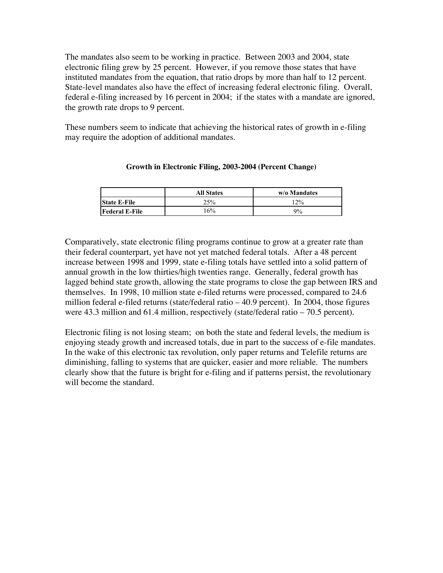The mandates also seem to be working in practice. Between 2003 and 2004, state electronic filing grew by 25 percent. However, if you remove those states that have instituted mandates from the equation, that ratio drops by more than half to 12 percent. State-level mandates also have the effect of increasing federal electronic filing. Overall, federal e-filing increased by 16 percent in 2004; if the states with a mandate are ignored, the growth rate drops to 9 percent.

These numbers seem to indicate that achieving the historical rates of growth in e-filing may require the adoption of additional mandates.

|                       | <b>All States</b> | w/o Mandates |
|-----------------------|-------------------|--------------|
| <b>State E-File</b>   | 25%               | 12%          |
| <b>Federal E-File</b> | $16\%$            | $9\%$        |

#### **Growth in Electronic Filing, 2003-2004 (Percent Change)**

Comparatively, state electronic filing programs continue to grow at a greater rate than their federal counterpart, yet have not yet matched federal totals. After a 48 percent increase between 1998 and 1999, state e-filing totals have settled into a solid pattern of annual growth in the low thirties/high twenties range. Generally, federal growth has lagged behind state growth, allowing the state programs to close the gap between IRS and themselves. In 1998, 10 million state e-filed returns were processed, compared to 24.6 million federal e-filed returns (state/federal ratio – 40.9 percent). In 2004, those figures were 43.3 million and 61.4 million, respectively (state/federal ratio – 70.5 percent).

Electronic filing is not losing steam; on both the state and federal levels, the medium is enjoying steady growth and increased totals, due in part to the success of e-file mandates. In the wake of this electronic tax revolution, only paper returns and Telefile returns are diminishing, falling to systems that are quicker, easier and more reliable. The numbers clearly show that the future is bright for e-filing and if patterns persist, the revolutionary will become the standard.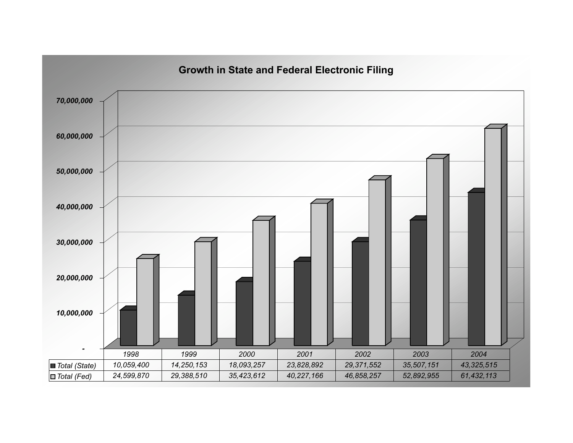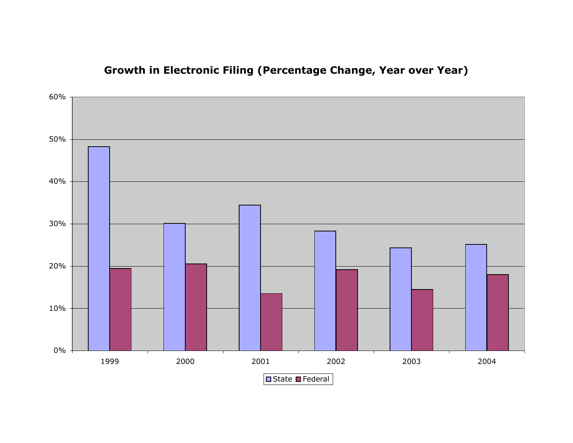

# **Growth in Electronic Filing (Percentage Change, Year over Year)**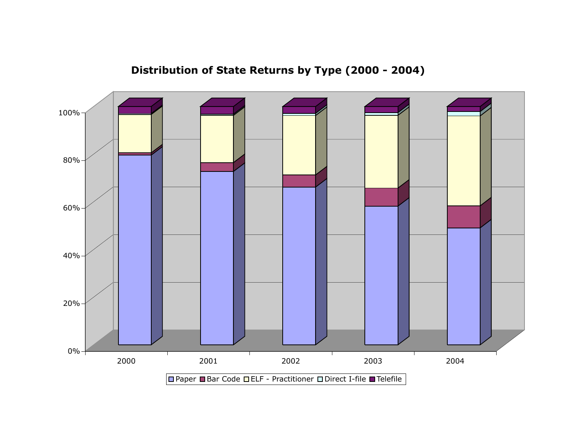

**Distribution of State Returns by Type (2000 - 2004)**